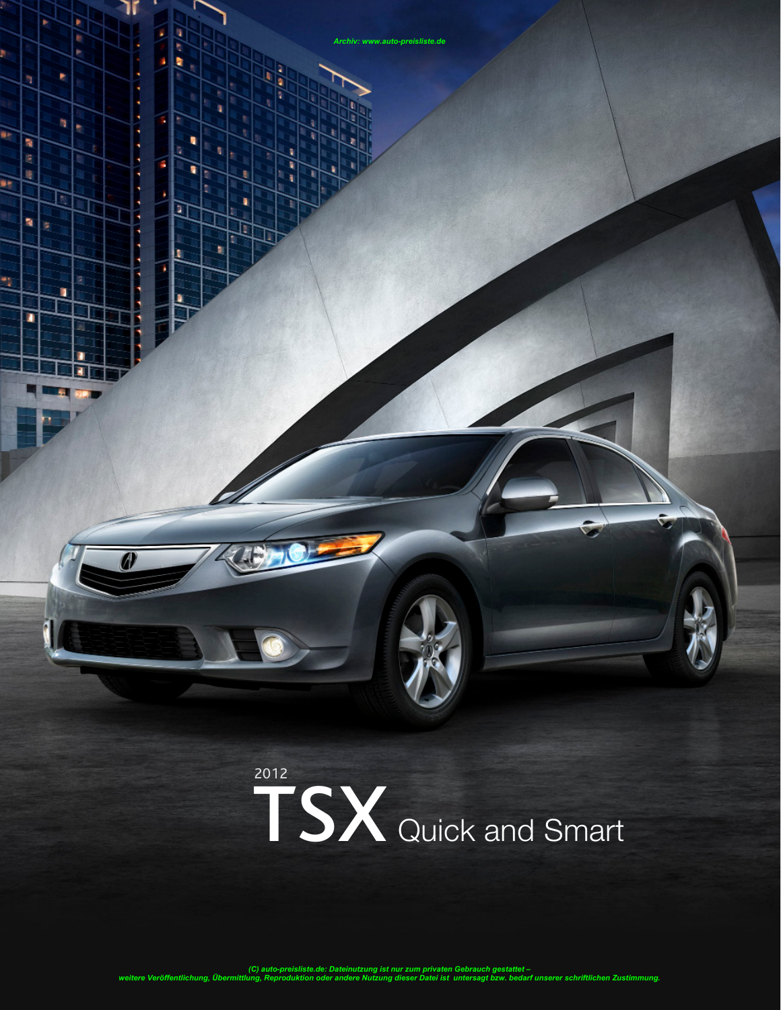

*Archiv: www.auto-preisliste.de*

医皮肤瘤

٦

۴

F

ı

ś

٩

ä

医原理

'n Þ

n

P

ż,

٠

'n ×

в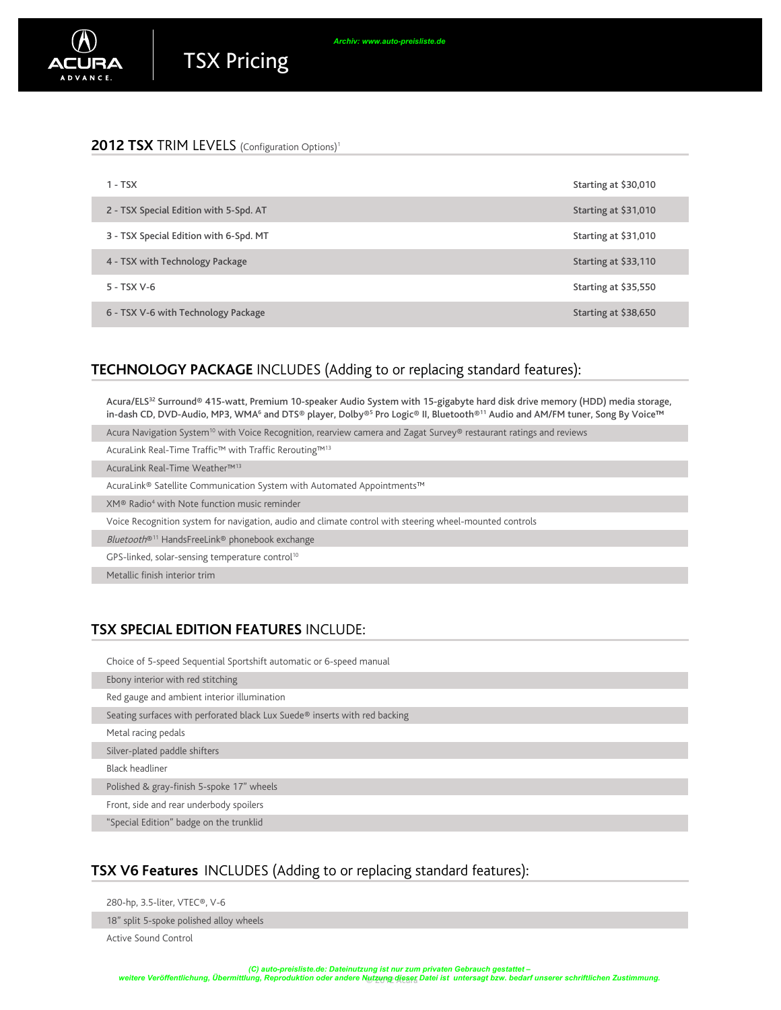| $1 - TSX$                              | Starting at \$30,010 |
|----------------------------------------|----------------------|
| 2 - TSX Special Edition with 5-Spd. AT | Starting at \$31,010 |
| 3 - TSX Special Edition with 6-Spd. MT | Starting at \$31,010 |
| 4 - TSX with Technology Package        | Starting at \$33,110 |
| 5 - TSX V-6                            | Starting at \$35,550 |
| 6 - TSX V-6 with Technology Package    | Starting at \$38,650 |

*Archiv: www.auto-preisliste.de*

### **TECHNOLOGY PACKAGE** INCLUDES (Adding to or replacing standard features):

Acura/ELS<sup>32</sup> Surround® 415-watt, Premium 10-speaker Audio System with 15-gigabyte hard disk drive memory (HDD) media storage, in-dash CD, DVD-Audio, MP3, WMA6 and DTS® player, Dolby®<sup>s</sup> Pro Logic® II, Bluetooth®11 Audio and AM/FM tuner, Song By Voice™

Acura Navigation System<sup>10</sup> with Voice Recognition, rearview camera and Zagat Survey® restaurant ratings and reviews

AcuraLink Real-Time Traffic™ with Traffic Rerouting™13

AcuraLink Real-Time Weather™13

AcuraLink® Satellite Communication System with Automated Appointments™

XM<sup>®</sup> Radio<sup>4</sup> with Note function music reminder

Voice Recognition system for navigation, audio and climate control with steering wheel-mounted controls

Bluetooth®11 HandsFreeLink® phonebook exchange

GPS-linked, solar-sensing temperature control<sup>10</sup>

Metallic finish interior trim

### **TSX Special Edition Features** INCLUDE:

Choice of 5-speed Sequential Sportshift automatic or 6-speed manual

Ebony interior with red stitching

Red gauge and ambient interior illumination

Seating surfaces with perforated black Lux Suede® inserts with red backing

Metal racing pedals

Silver-plated paddle shifters

Black headliner

Polished & gray-finish 5-spoke 17" wheels

Front, side and rear underbody spoilers

"Special Edition" badge on the trunklid

### **TSX V6 Features** INCLUDES (Adding to or replacing standard features):

280-hp, 3.5-liter, VTEC®, V-6

18" split 5-spoke polished alloy wheels

Active Sound Control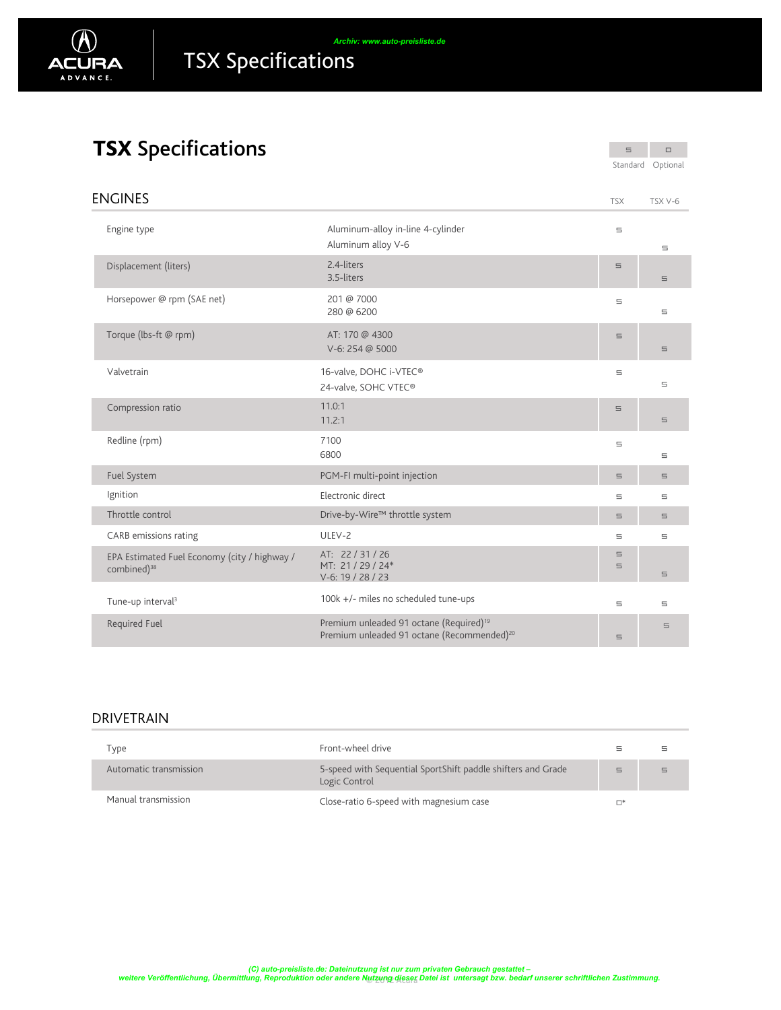

# TSX Specifications

 $\Box$  $\equiv$ Standard Optional

| <b>ENGINES</b>                                                          |                                                                                                               | <b>TSX</b>                | TSX V-6       |
|-------------------------------------------------------------------------|---------------------------------------------------------------------------------------------------------------|---------------------------|---------------|
| Engine type                                                             | Aluminum-alloy in-line 4-cylinder<br>Aluminum alloy V-6                                                       | 5                         | $\equiv$      |
| Displacement (liters)                                                   | 2.4-liters<br>3.5-liters                                                                                      | $\equiv$                  | $\equiv$      |
| Horsepower @ rpm (SAE net)                                              | 201 @ 7000<br>280 @ 6200                                                                                      | $\equiv$                  | $\equiv$      |
| Torque (lbs-ft @ rpm)                                                   | AT: 170 @ 4300<br>V-6: 254 @ 5000                                                                             | $\sqsubseteq$             | $\sqsubseteq$ |
| Valvetrain                                                              | 16-valve, DOHC i-VTEC®<br>24-valve, SOHC VTEC®                                                                | $\equiv$                  | $\equiv$      |
| Compression ratio                                                       | 11.0:1<br>11.2:1                                                                                              | $\equiv$                  | $\equiv$      |
| Redline (rpm)                                                           | 7100<br>6800                                                                                                  | $\equiv$                  | $\equiv$      |
| Fuel System                                                             | PGM-FI multi-point injection                                                                                  | $\sqsubseteq$             | $\sqsubseteq$ |
| Ignition                                                                | Electronic direct                                                                                             | $\equiv$                  | $\equiv$      |
| Throttle control                                                        | Drive-by-Wire™ throttle system                                                                                | $\equiv$                  | $\equiv$      |
| CARB emissions rating                                                   | ULEV-2                                                                                                        | $\equiv$                  | $\sqsubseteq$ |
| EPA Estimated Fuel Economy (city / highway /<br>combined) <sup>38</sup> | AT: 22/31/26<br>MT: 21 / 29 / 24*<br>V-6: 19 / 28 / 23                                                        | $\equiv$<br>$\sqsubseteq$ | $\equiv$      |
| Tune-up interval <sup>3</sup>                                           | 100k +/- miles no scheduled tune-ups                                                                          | $\equiv$                  | $\equiv$      |
| <b>Required Fuel</b>                                                    | Premium unleaded 91 octane (Required) <sup>19</sup><br>Premium unleaded 91 octane (Recommended) <sup>20</sup> | $\equiv$                  | $\equiv$      |

### **DRIVETRAIN**

| Type                   | Front-wheel drive                                                             | Ξ        |  |
|------------------------|-------------------------------------------------------------------------------|----------|--|
| Automatic transmission | 5-speed with Sequential SportShift paddle shifters and Grade<br>Logic Control | $\equiv$ |  |
| Manual transmission    | Close-ratio 6-speed with magnesium case                                       | $\Box^*$ |  |

utzung dieser C) auto-preisliste.de: Dateinutzung ist nur zum privaten Gebrauch gestattet –<br>weitere Veröffentlichung, Übermittlung, Reproduktion oder andere Nutzung dieser Datei ist untersagt bzw. bedarf unserer schriftlichen Zustimmu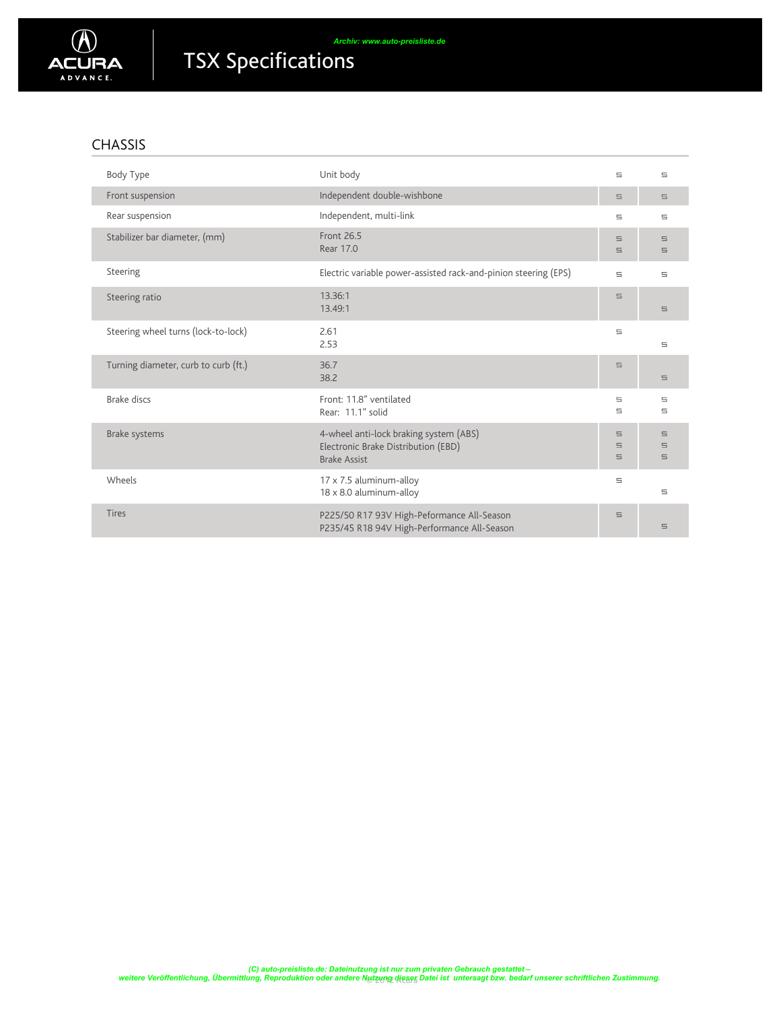

### CHASSIS

| Body Type                            | Unit body                                                                                            | 5                         | 5                                |
|--------------------------------------|------------------------------------------------------------------------------------------------------|---------------------------|----------------------------------|
| Front suspension                     | Independent double-wishbone                                                                          | $\equiv$                  | $\equiv$                         |
| Rear suspension                      | Independent, multi-link                                                                              | 5                         | Ξ                                |
| Stabilizer bar diameter, (mm)        | <b>Front 26.5</b><br>Rear 17.0                                                                       | $\equiv$<br>$\equiv$      | $\equiv$<br>$\equiv$             |
| Steering                             | Electric variable power-assisted rack-and-pinion steering (EPS)                                      | $\equiv$                  | $\equiv$                         |
| Steering ratio                       | 13.36:1<br>13.49:1                                                                                   | $\equiv$                  | $\equiv$                         |
| Steering wheel turns (lock-to-lock)  | 2.61<br>2.53                                                                                         | $\equiv$                  | $\equiv$                         |
| Turning diameter, curb to curb (ft.) | 36.7<br>38.2                                                                                         | $\equiv$                  | $\equiv$                         |
| <b>Brake discs</b>                   | Front: 11.8" ventilated<br>Rear: 11.1" solid                                                         | 5<br>5                    | 5<br>5                           |
| Brake systems                        | 4-wheel anti-lock braking system (ABS)<br>Electronic Brake Distribution (EBD)<br><b>Brake Assist</b> | 5<br>$\equiv$<br>$\equiv$ | $\equiv$<br>$\equiv$<br>$\equiv$ |
| Wheels                               | 17 x 7.5 aluminum-alloy<br>18 x 8.0 aluminum-alloy                                                   | $\equiv$                  | $\equiv$                         |
| <b>Tires</b>                         | P225/50 R17 93V High-Peformance All-Season<br>P235/45 R18 94V High-Performance All-Season            | $\equiv$                  | $\equiv$                         |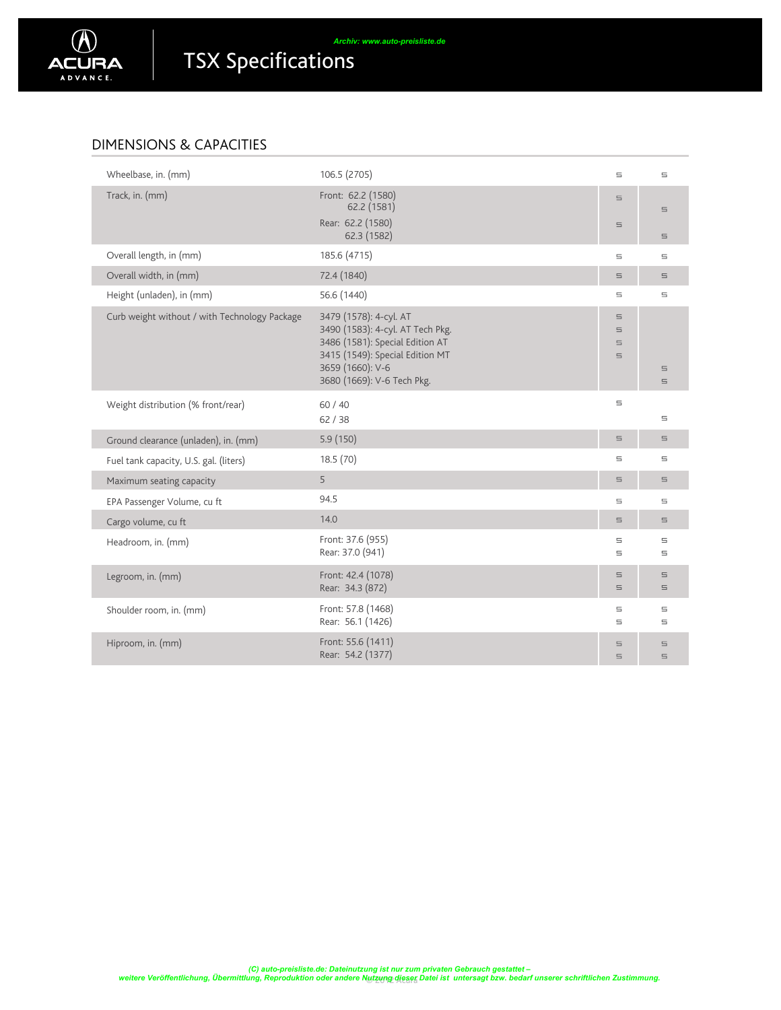

## Dimensions & Capacities

| Wheelbase, in. (mm)                           | 106.5 (2705)                                                                                                                                                                       | $\equiv$                               | $\equiv$                  |
|-----------------------------------------------|------------------------------------------------------------------------------------------------------------------------------------------------------------------------------------|----------------------------------------|---------------------------|
| Track, in. (mm)                               | Front: 62.2 (1580)<br>62.2 (1581)                                                                                                                                                  | $\equiv$                               | $\equiv$                  |
|                                               | Rear: 62.2 (1580)<br>62.3 (1582)                                                                                                                                                   | $\equiv$                               | $\equiv$                  |
| Overall length, in (mm)                       | 185.6 (4715)                                                                                                                                                                       | E.                                     | $\equiv$                  |
| Overall width, in (mm)                        | 72.4 (1840)                                                                                                                                                                        | E.                                     | $\equiv$                  |
| Height (unladen), in (mm)                     | 56.6 (1440)                                                                                                                                                                        | E.                                     | $\equiv$                  |
| Curb weight without / with Technology Package | 3479 (1578): 4-cyl. AT<br>3490 (1583): 4-cyl. AT Tech Pkg.<br>3486 (1581): Special Edition AT<br>3415 (1549): Special Edition MT<br>3659 (1660): V-6<br>3680 (1669): V-6 Tech Pkg. | E.<br>$\equiv$<br>$\equiv$<br>$\equiv$ | $\sqsubseteq$<br>$\equiv$ |
| Weight distribution (% front/rear)            | 60 / 40<br>62/38                                                                                                                                                                   | 5                                      | $\equiv$                  |
| Ground clearance (unladen), in. (mm)          | 5.9(150)                                                                                                                                                                           | $\equiv$                               | $\equiv$                  |
| Fuel tank capacity, U.S. gal. (liters)        | 18.5 (70)                                                                                                                                                                          | E.                                     | $\equiv$                  |
| Maximum seating capacity                      | 5                                                                                                                                                                                  | $\equiv$                               | $\equiv$                  |
| EPA Passenger Volume, cu ft                   | 94.5                                                                                                                                                                               | 5                                      | $\equiv$                  |
| Cargo volume, cu ft                           | 14.0                                                                                                                                                                               | $\equiv$                               | $\equiv$                  |
| Headroom, in. (mm)                            | Front: 37.6 (955)<br>Rear: 37.0 (941)                                                                                                                                              | 5<br>$\equiv$                          | $\equiv$<br>$\equiv$      |
| Legroom, in. (mm)                             | Front: 42.4 (1078)<br>Rear: 34.3 (872)                                                                                                                                             | $\equiv$<br>$\equiv$                   | $\equiv$<br>$\equiv$      |
| Shoulder room, in. (mm)                       | Front: 57.8 (1468)<br>Rear: 56.1 (1426)                                                                                                                                            | 5<br>$\equiv$                          | $\equiv$<br>$\sqsubseteq$ |
| Hiproom, in. (mm)                             | Front: 55.6 (1411)<br>Rear: 54.2 (1377)                                                                                                                                            | 5<br>5                                 | $\equiv$<br>$\equiv$      |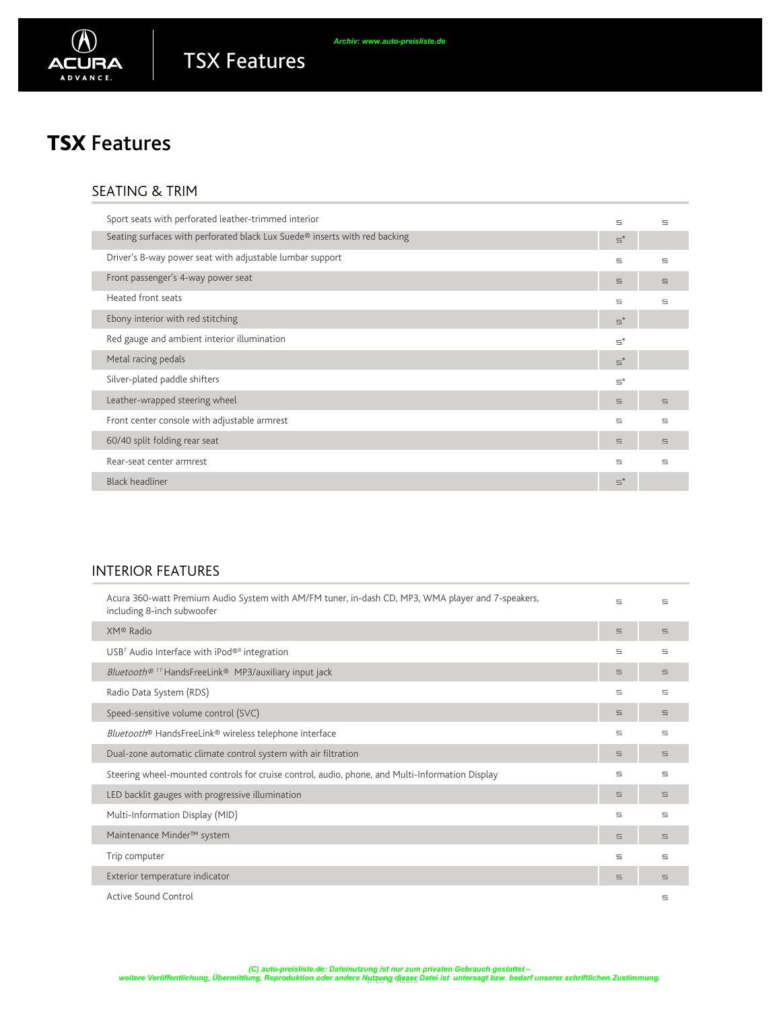

## TSX Features

## SEATING & TRIM

| Sport seats with perforated leather-trimmed interior                       | $\equiv$       | $\equiv$ |
|----------------------------------------------------------------------------|----------------|----------|
| Seating surfaces with perforated black Lux Suede® inserts with red backing | $\Xi^*$        |          |
| Driver's 8-way power seat with adjustable lumbar support                   | $\equiv$       | $\equiv$ |
| Front passenger's 4-way power seat                                         | $\equiv$       | $\equiv$ |
| Heated front seats                                                         | $\equiv$       | 5        |
| Ebony interior with red stitching                                          | $\Xi^*$        |          |
| Red gauge and ambient interior illumination                                | $\equiv^*$     |          |
| Metal racing pedals                                                        | $\mathbf{S}^*$ |          |
| Silver-plated paddle shifters                                              | $\Xi^*$        |          |
| Leather-wrapped steering wheel                                             | $\equiv$       | $\equiv$ |
| Front center console with adjustable armrest                               | 5              | $\equiv$ |
| 60/40 split folding rear seat                                              | $\equiv$       | $\equiv$ |
| Rear-seat center armrest                                                   | $\equiv$       | $\equiv$ |
| <b>Black headliner</b>                                                     | $\Xi^*$        |          |

*Archiv: www.auto-preisliste.de*

## INTERIOR FEATURES

| Acura 360-watt Premium Audio System with AM/FM tuner, in-dash CD, MP3, WMA player and 7-speakers,<br>including 8-inch subwoofer | $\overline{\phantom{0}}$ | $\equiv$ |
|---------------------------------------------------------------------------------------------------------------------------------|--------------------------|----------|
| XM® Radio                                                                                                                       | $\equiv$                 | $\equiv$ |
| $USB7$ Audio Interface with iPod® <sup>8</sup> integration                                                                      | 5                        | 5        |
| <i>Bluetooth<sup>® 11</sup></i> HandsFreeLink <sup>®</sup> MP3/auxiliary input jack                                             | $\equiv$                 | $\equiv$ |
| Radio Data System (RDS)                                                                                                         | 5                        | 5        |
| Speed-sensitive volume control (SVC)                                                                                            | $\equiv$                 | $\equiv$ |
| Bluetooth <sup>®</sup> HandsFreeLink <sup>®</sup> wireless telephone interface                                                  | 5                        | 5        |
| Dual-zone automatic climate control system with air filtration                                                                  | 5                        | $\equiv$ |
| Steering wheel-mounted controls for cruise control, audio, phone, and Multi-Information Display                                 | 5                        | 5        |
| LED backlit gauges with progressive illumination                                                                                | $\equiv$                 | $\equiv$ |
| Multi-Information Display (MID)                                                                                                 | 5                        | 5        |
| Maintenance Minder <sup>™</sup> system                                                                                          | $\equiv$                 | $\equiv$ |
| Trip computer                                                                                                                   | 5                        | 5        |
| Exterior temperature indicator                                                                                                  | $\equiv$                 | $\equiv$ |
| Active Sound Control                                                                                                            |                          | $\equiv$ |

utzung dieser C) auto-preisliste.de: Dateinutzung ist nur zum privaten Gebrauch gestattet –<br>weitere Veröffentlichung, Übermittlung, Reproduktion oder andere Nutzung dieser Datei ist untersagt bzw. bedarf unserer schriftlichen Zustimmu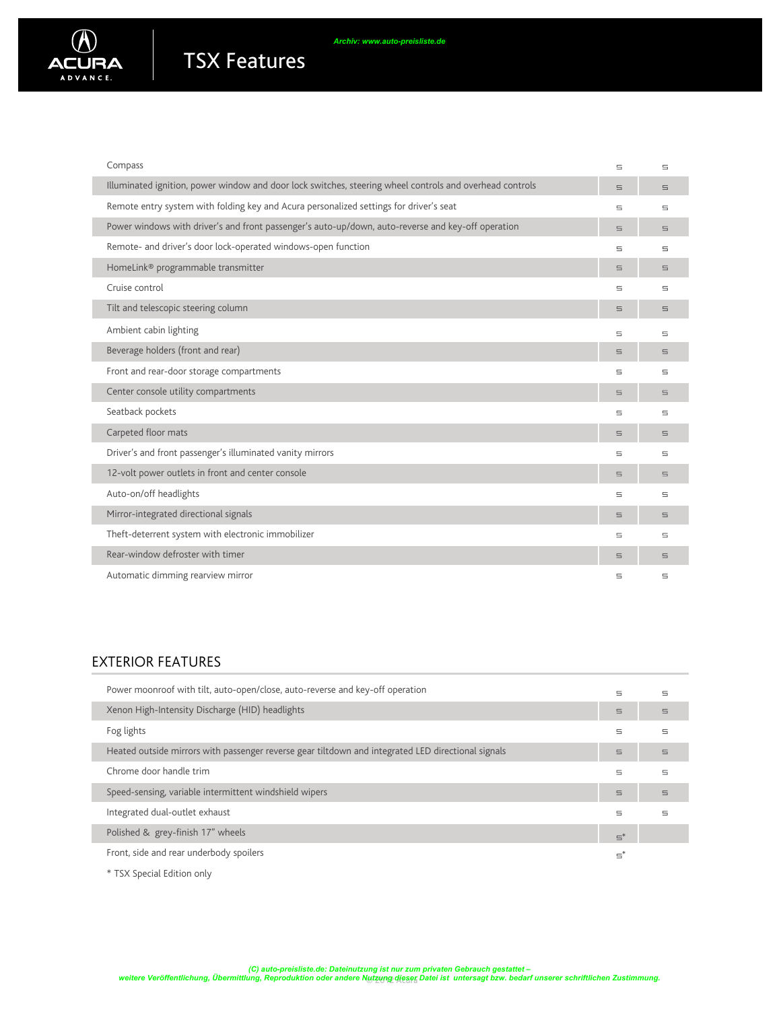

| Compass                                                                                                  | $\equiv$ | $\equiv$ |
|----------------------------------------------------------------------------------------------------------|----------|----------|
| Illuminated ignition, power window and door lock switches, steering wheel controls and overhead controls | $\equiv$ | $\equiv$ |
| Remote entry system with folding key and Acura personalized settings for driver's seat                   | 5        | $\equiv$ |
| Power windows with driver's and front passenger's auto-up/down, auto-reverse and key-off operation       | $\equiv$ | $\equiv$ |
| Remote- and driver's door lock-operated windows-open function                                            | 5        | $\equiv$ |
| HomeLink <sup>®</sup> programmable transmitter                                                           | $\equiv$ | $\equiv$ |
| Cruise control                                                                                           | 5        | $\equiv$ |
| Tilt and telescopic steering column                                                                      | $\equiv$ | $\equiv$ |
| Ambient cabin lighting                                                                                   | 5        | 5        |
| Beverage holders (front and rear)                                                                        | $\equiv$ | $\equiv$ |
| Front and rear-door storage compartments                                                                 | 5        | 5        |
| Center console utility compartments                                                                      | $\equiv$ | $\equiv$ |
| Seatback pockets                                                                                         | 5        | 5        |
| Carpeted floor mats                                                                                      | $\equiv$ | $\equiv$ |
| Driver's and front passenger's illuminated vanity mirrors                                                | 5        | 5        |
| 12-volt power outlets in front and center console                                                        | $\equiv$ | $\equiv$ |
| Auto-on/off headlights                                                                                   | 5        | $\equiv$ |
| Mirror-integrated directional signals                                                                    | $\equiv$ | $\equiv$ |
| Theft-deterrent system with electronic immobilizer                                                       | 5        | $\equiv$ |
| Rear-window defroster with timer                                                                         | 5        | 5        |
| Automatic dimming rearview mirror                                                                        | Ξ        | 5        |

## EXTERIOR FEATURES

| Power moonroof with tilt, auto-open/close, auto-reverse and key-off operation                      | 5          | 5        |
|----------------------------------------------------------------------------------------------------|------------|----------|
| Xenon High-Intensity Discharge (HID) headlights                                                    | $\equiv$   | $\equiv$ |
| Fog lights                                                                                         | 5          | 5        |
| Heated outside mirrors with passenger reverse gear tiltdown and integrated LED directional signals | $\equiv$   | $\equiv$ |
| Chrome door handle trim                                                                            | 5          | 5        |
| Speed-sensing, variable intermittent windshield wipers                                             | 5          | $\equiv$ |
| Integrated dual-outlet exhaust                                                                     | $\equiv$   | 5        |
| Polished & grey-finish 17" wheels                                                                  | $\Xi^*$    |          |
| Front, side and rear underbody spoilers                                                            | $\equiv^*$ |          |

\* TSX Special Edition only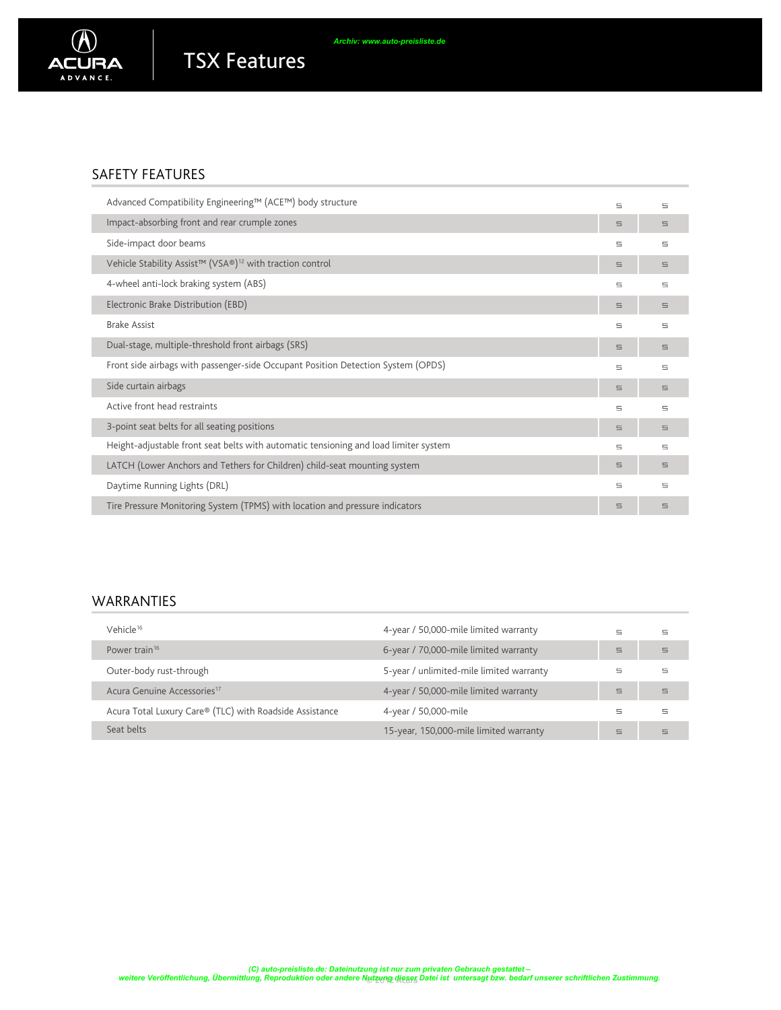

### SAFETY FEATURES

| Advanced Compatibility Engineering™ (ACE™) body structure                            | 5        | $\equiv$ |
|--------------------------------------------------------------------------------------|----------|----------|
| Impact-absorbing front and rear crumple zones                                        | 5        | 5        |
| Side-impact door beams                                                               | 5        | $\equiv$ |
| Vehicle Stability Assist™ (VSA®) <sup>12</sup> with traction control                 | 5        | 5        |
| 4-wheel anti-lock braking system (ABS)                                               | 5        | $\equiv$ |
| Electronic Brake Distribution (EBD)                                                  | 5        | $\equiv$ |
| <b>Brake Assist</b>                                                                  | 5        | $\equiv$ |
| Dual-stage, multiple-threshold front airbags (SRS)                                   | 5        | $\equiv$ |
| Front side airbags with passenger-side Occupant Position Detection System (OPDS)     | 5        | $\equiv$ |
| Side curtain airbags                                                                 | 5        | 5        |
| Active front head restraints                                                         | 5        | $\equiv$ |
| 3-point seat belts for all seating positions                                         | 5        | $\equiv$ |
| Height-adjustable front seat belts with automatic tensioning and load limiter system | 5        | $\equiv$ |
| LATCH (Lower Anchors and Tethers for Children) child-seat mounting system            | $\equiv$ | $\equiv$ |
| Daytime Running Lights (DRL)                                                         | 5        | $\equiv$ |
| Tire Pressure Monitoring System (TPMS) with location and pressure indicators         | 5        | 5        |

### WARRANTIES

| Vehicle <sup>16</sup>                                   | 4-year / 50,000-mile limited warranty    | $\equiv$ | 5        |
|---------------------------------------------------------|------------------------------------------|----------|----------|
| Power train <sup>16</sup>                               | 6-year / 70,000-mile limited warranty    | 5        | $\equiv$ |
| Outer-body rust-through                                 | 5-year / unlimited-mile limited warranty | ⋸        | 5        |
| Acura Genuine Accessories <sup>17</sup>                 | 4-year / 50,000-mile limited warranty    | $\equiv$ | $\equiv$ |
| Acura Total Luxury Care® (TLC) with Roadside Assistance | 4-year / 50,000-mile                     | 5        | ⊟        |
| Seat belts                                              | 15-year, 150,000-mile limited warranty   | $\equiv$ | $\equiv$ |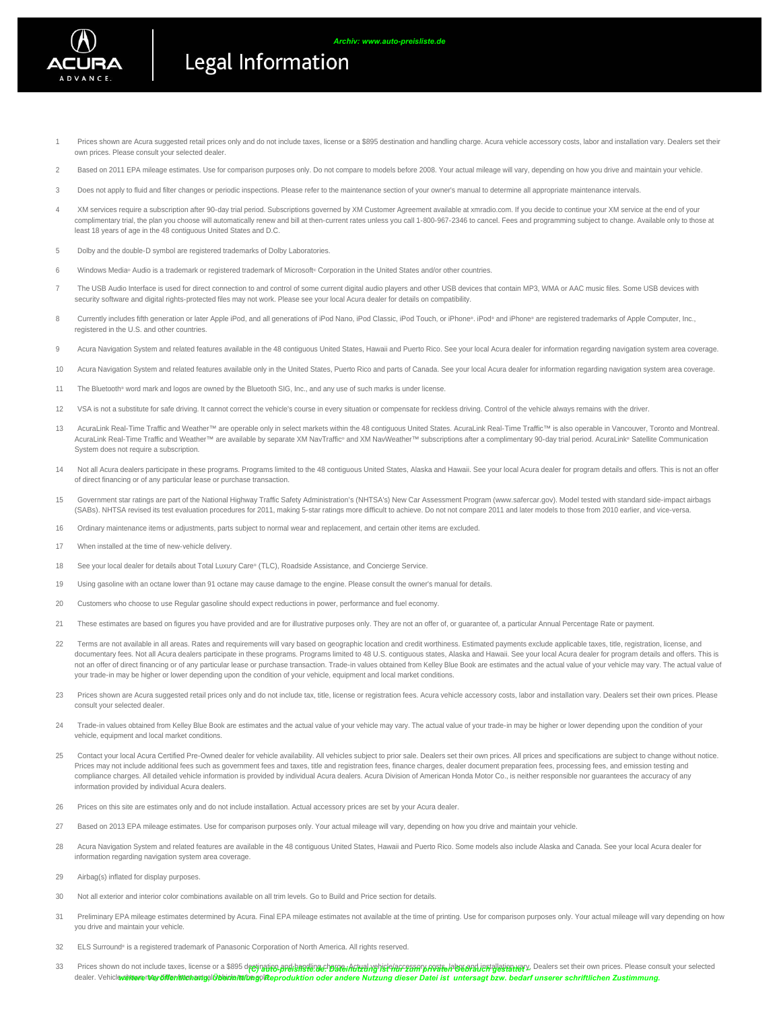

- Prices shown are Acura suggested retail prices only and do not include taxes, license or a \$895 destination and handling charge. Acura vehicle accessory costs, labor and installation vary. Dealers set their own prices. Please consult your selected dealer. 1
- 2 Based on 2011 EPA mileage estimates. Use for comparison purposes only. Do not compare to models before 2008. Your actual mileage will vary, depending on how you drive and maintain your vehicle.
- 3 Does not apply to fluid and filter changes or periodic inspections. Please refer to the maintenance section of your owner's manual to determine all appropriate maintenance intervals.
- XM services require a subscription after 90-day trial period. Subscriptions governed by XM Customer Agreement available at xmradio.com. If you decide to continue your XM service at the end of your complimentary trial, the plan you choose will automatically renew and bill at then-current rates unless you call 1-800-967-2346 to cancel. Fees and programming subject to change. Available only to those at least 18 years of age in the 48 contiguous United States and D.C. 4
- 5 Dolby and the double-D symbol are registered trademarks of Dolby Laboratories.
- 6 Windows Media® Audio is a trademark or registered trademark of Microsoft® Corporation in the United States and/or other countries.

Legal Information

- The USB Audio Interface is used for direct connection to and control of some current digital audio players and other USB devices that contain MP3, WMA or AAC music files. Some USB devices with security software and digital rights-protected files may not work. Please see your local Acura dealer for details on compatibility. 7
- Currently includes fifth generation or later Apple iPod, and all generations of iPod Nano, iPod Classic, iPod Touch, or iPhone®. iPod® and iPhone® are registered trademarks of Apple Computer, Inc., registered in the U.S. and other countries. 8
- 9 Acura Navigation System and related features available in the 48 contiguous United States, Hawaii and Puerto Rico. See your local Acura dealer for information regarding navigation system area coverage.
- 10 Acura Navigation System and related features available only in the United States, Puerto Rico and parts of Canada. See your local Acura dealer for information regarding navigation system area coverage.
- 11 The Bluetooth® word mark and logos are owned by the Bluetooth SIG, Inc., and any use of such marks is under license.
- 12 VSA is not a substitute for safe driving. It cannot correct the vehicle's course in every situation or compensate for reckless driving. Control of the vehicle always remains with the driver.
- AcuraLink Real-Time Traffic and Weather™ are operable only in select markets within the 48 contiguous United States. AcuraLink Real-Time Traffic™ is also operable in Vancouver, Toronto and Montreal. AcuraLink Real-Time Traffic and Weather™ are available by separate XM NavTraffic® and XM NavWeather™ subscriptions after a complimentary 90-day trial period. AcuraLink® Satellite Communication System does not require a subscription. 13
- Not all Acura dealers participate in these programs. Programs limited to the 48 contiguous United States, Alaska and Hawaii. See your local Acura dealer for program details and offers. This is not an offer of direct financing or of any particular lease or purchase transaction. 14
- Government star ratings are part of the National Highway Traffic Safety Administration's (NHTSA's) New Car Assessment Program (www.safercar.gov). Model tested with standard side-impact airbags (SABs). NHTSA revised its test evaluation procedures for 2011, making 5-star ratings more difficult to achieve. Do not not compare 2011 and later models to those from 2010 earlier, and vice-versa. 15
- 16 Ordinary maintenance items or adjustments, parts subject to normal wear and replacement, and certain other items are excluded.
- 17 When installed at the time of new-vehicle delivery.
- 18 See your local dealer for details about Total Luxury Care® (TLC), Roadside Assistance, and Concierge Service.
- 19 Using gasoline with an octane lower than 91 octane may cause damage to the engine. Please consult the owner's manual for details.
- 20 Customers who choose to use Regular gasoline should expect reductions in power, performance and fuel economy.
- 21 These estimates are based on figures you have provided and are for illustrative purposes only. They are not an offer of, or quarantee of, a particular Annual Percentage Rate or payment.
- Terms are not available in all areas. Rates and requirements will vary based on geographic location and credit worthiness. Estimated payments exclude applicable taxes, title, registration, license, and documentary fees. Not all Acura dealers participate in these programs. Programs limited to 48 U.S. contiguous states, Alaska and Hawaii. See your local Acura dealer for program details and offers. This is not an offer of direct financing or of any particular lease or purchase transaction. Trade-in values obtained from Kelley Blue Book are estimates and the actual value of your vehicle may vary. The actual value of your trade-in may be higher or lower depending upon the condition of your vehicle, equipment and local market conditions. 22
- Prices shown are Acura suggested retail prices only and do not include tax, title, license or registration fees. Acura vehicle accessory costs, labor and installation vary. Dealers set their own prices. Please consult your selected dealer.  $23$
- Trade-in values obtained from Kelley Blue Book are estimates and the actual value of your vehicle may vary. The actual value of your trade-in may be higher or lower depending upon the condition of your vehicle, equipment and local market conditions. 24
- Contact your local Acura Certified Pre-Owned dealer for vehicle availability. All vehicles subject to prior sale. Dealers set their own prices. All prices and specifications are subject to change without notice. Prices may not include additional fees such as government fees and taxes, title and registration fees, finance charges, dealer document preparation fees, processing fees, and emission testing and compliance charges. All detailed vehicle information is provided by individual Acura dealers. Acura Division of American Honda Motor Co., is neither responsible nor guarantees the accuracy of any information provided by individual Acura dealers. 25
- 26 Prices on this site are estimates only and do not include installation. Actual accessory prices are set by your Acura dealer.
- 27 Based on 2013 EPA mileage estimates. Use for comparison purposes only. Your actual mileage will vary, depending on how you drive and maintain your vehicle.
- Acura Navigation System and related features are available in the 48 contiguous United States, Hawaii and Puerto Rico. Some models also include Alaska and Canada. See your local Acura dealer for information regarding navigation system area coverage. 28
- 29 Airbag(s) inflated for display purposes.
- 30 Not all exterior and interior color combinations available on all trim levels. Go to Build and Price section for details.
- Preliminary EPA mileage estimates determined by Acura. Final EPA mileage estimates not available at the time of printing. Use for comparison purposes only. Your actual mileage will vary depending on how you drive and maintain your vehicle. 31
- 32 ELS Surround® is a registered trademark of Panasonic Corporation of North America. All rights reserved.
- Prices shown do not include taxes, license or a \$895 d<mark>eeynation and basel and the all mate. Alter has a consult your selected</mark> product and the set their own prices. Please consult your selected dealer. Vehicle**∧shwren©ydifentwchactyal0beichnwlbegol⊄eproduktion oder andere Nutzung dieser Datei ist untersagt bzw. bedarf unserer schriftlichen Zustimmung.** 33